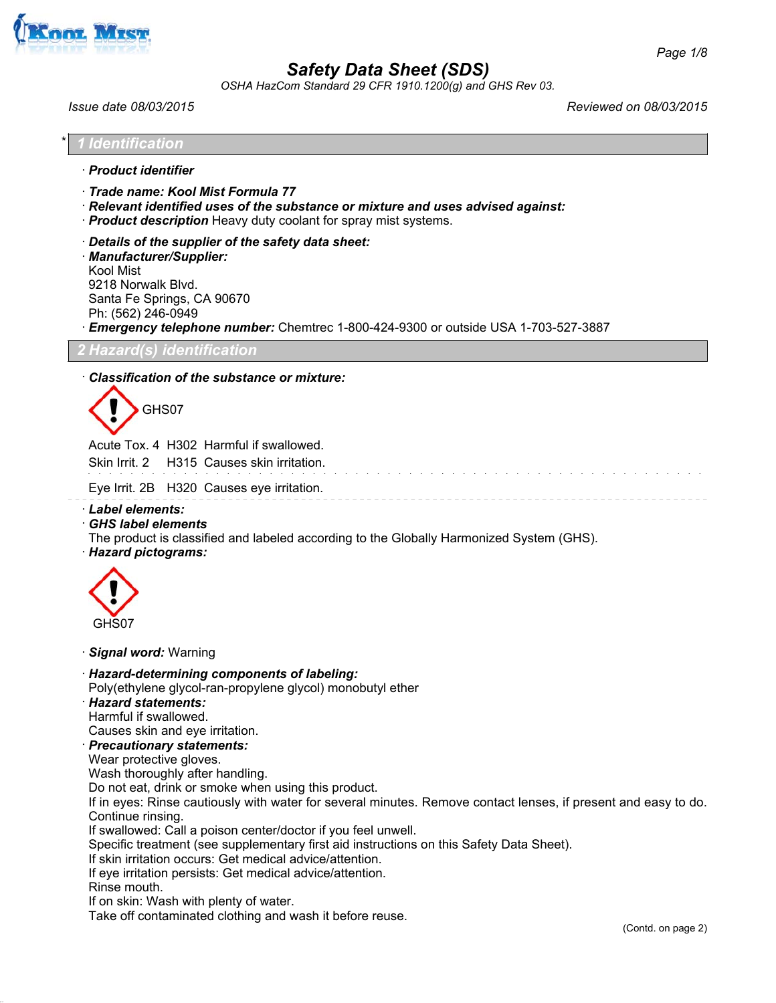

*OSHA HazCom Standard 29 CFR 1910.1200(g) and GHS Rev 03.*

*Issue date 08/03/2015 Reviewed on 08/03/2015*

|  | $5.1200(g)$ and Orio not 00. |  |  |
|--|------------------------------|--|--|
|  |                              |  |  |
|  |                              |  |  |

\* *1 Identification*

· *Product identifier*

· *Trade name: Kool Mist Formula 77*

· *Relevant identified uses of the substance or mixture and uses advised against:*

- · *Product description* Heavy duty coolant for spray mist systems.
- · *Details of the supplier of the safety data sheet:*

· *Manufacturer/Supplier:* Kool Mist 9218 Norwalk Blvd. Santa Fe Springs, CA 90670 Ph: (562) 246-0949

· *Emergency telephone number:* Chemtrec 1-800-424-9300 or outside USA 1-703-527-3887

*2 Hazard(s) identification*

### · *Classification of the substance or mixture:*



Acute Tox. 4 H302 Harmful if swallowed.

| Skin Irrit. 2 H315 Causes skin irritation. |  |  |  |  |
|--------------------------------------------|--|--|--|--|
| Eye Irrit. 2B H320 Causes eye irritation.  |  |  |  |  |

- · *Label elements:*
- · *GHS label elements*
- The product is classified and labeled according to the Globally Harmonized System (GHS).
- · *Hazard pictograms:*



#### · *Signal word:* Warning

- · *Hazard-determining components of labeling:*
- Poly(ethylene glycol-ran-propylene glycol) monobutyl ether
- · *Hazard statements:*

Harmful if swallowed.

- Causes skin and eye irritation.
- · *Precautionary statements:*
- Wear protective gloves.
- Wash thoroughly after handling.
- Do not eat, drink or smoke when using this product.

If in eyes: Rinse cautiously with water for several minutes. Remove contact lenses, if present and easy to do. Continue rinsing.

If swallowed: Call a poison center/doctor if you feel unwell.

Specific treatment (see supplementary first aid instructions on this Safety Data Sheet).

- If skin irritation occurs: Get medical advice/attention.
- If eye irritation persists: Get medical advice/attention.
- Rinse mouth.

If on skin: Wash with plenty of water.

Take off contaminated clothing and wash it before reuse.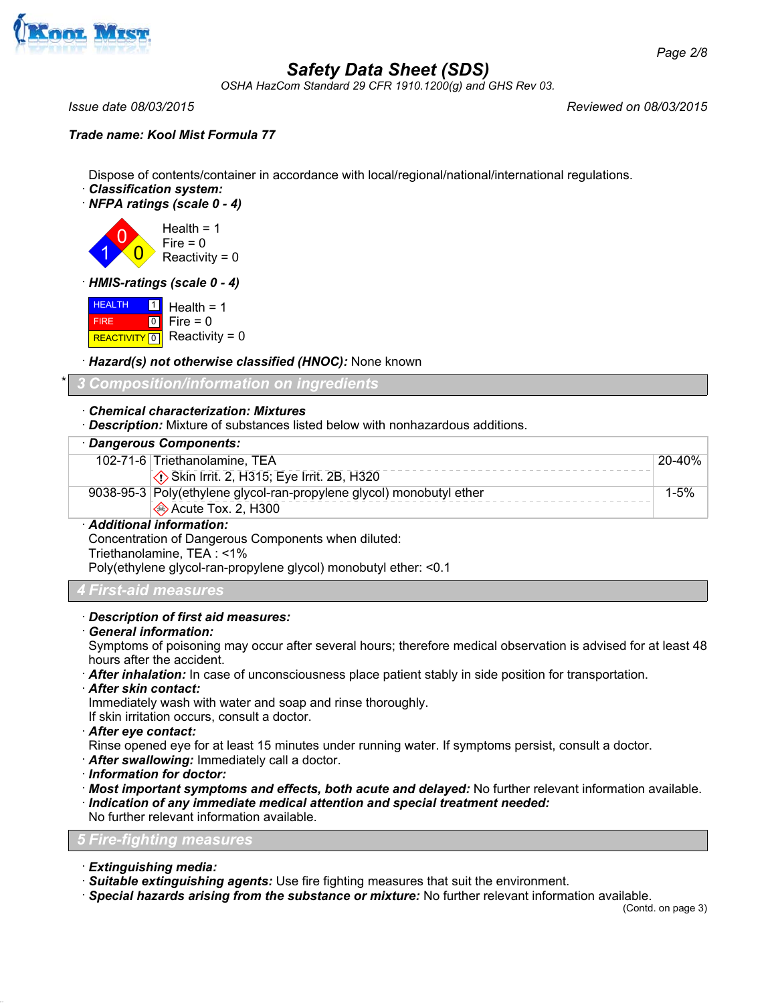

*OSHA HazCom Standard 29 CFR 1910.1200(g) and GHS Rev 03.*

*Issue date 08/03/2015 Reviewed on 08/03/2015*

### *Trade name: Kool Mist Formula 77*

Dispose of contents/container in accordance with local/regional/national/international regulations.

- · *Classification system:*
- · *NFPA ratings (scale 0 4)*

1

0 0 Health  $= 1$  $Fire = 0$ Reactivity =  $0$ 

· *HMIS-ratings (scale 0 - 4)*

**HEALTH**  FIRE REACTIVITY  $\boxed{0}$  Reactivity = 0 1  $\boxed{0}$ Health  $= 1$  $Fire = 0$ 

· *Hazard(s) not otherwise classified (HNOC):* None known

\* *3 Composition/information on ingredients*

#### · *Chemical characterization: Mixtures*

· *Description:* Mixture of substances listed below with nonhazardous additions.

| · Dangerous Components:                                                                                                                                                                                                                                                                                             |        |
|---------------------------------------------------------------------------------------------------------------------------------------------------------------------------------------------------------------------------------------------------------------------------------------------------------------------|--------|
| 102-71-6 Triethanolamine, TEA                                                                                                                                                                                                                                                                                       | 20-40% |
| Skin Irrit. 2, H315; Eye Irrit. 2B, H320                                                                                                                                                                                                                                                                            |        |
| 9038-95-3 Poly(ethylene glycol-ran-propylene glycol) monobutyl ether                                                                                                                                                                                                                                                | 1-5%   |
| ♦ Acute Tox. 2, H300                                                                                                                                                                                                                                                                                                |        |
| · Additional information:                                                                                                                                                                                                                                                                                           |        |
| Concentration of Dangerous Components when diluted:                                                                                                                                                                                                                                                                 |        |
| $\frac{1}{2}$ $\frac{1}{2}$ $\frac{1}{2}$ $\frac{1}{2}$ $\frac{1}{2}$ $\frac{1}{2}$ $\frac{1}{2}$ $\frac{1}{2}$ $\frac{1}{2}$ $\frac{1}{2}$ $\frac{1}{2}$ $\frac{1}{2}$ $\frac{1}{2}$ $\frac{1}{2}$ $\frac{1}{2}$ $\frac{1}{2}$ $\frac{1}{2}$ $\frac{1}{2}$ $\frac{1}{2}$ $\frac{1}{2}$ $\frac{1}{2}$ $\frac{1}{2}$ |        |

Triethanolamine, TEA : <1% Poly(ethylene glycol-ran-propylene glycol) monobutyl ether: <0.1

#### *4 First-aid measures*

#### · *Description of first aid measures:*

· *General information:*

Symptoms of poisoning may occur after several hours; therefore medical observation is advised for at least 48 hours after the accident.

- · *After inhalation:* In case of unconsciousness place patient stably in side position for transportation.
- · *After skin contact:*

Immediately wash with water and soap and rinse thoroughly.

If skin irritation occurs, consult a doctor.

· *After eye contact:*

- Rinse opened eye for at least 15 minutes under running water. If symptoms persist, consult a doctor.
- · *After swallowing:* Immediately call a doctor.
- · *Information for doctor:*
- · *Most important symptoms and effects, both acute and delayed:* No further relevant information available.
- · *Indication of any immediate medical attention and special treatment needed:*

No further relevant information available.

#### *5 Fire-fighting measures*

- · *Extinguishing media:*
- · *Suitable extinguishing agents:* Use fire fighting measures that suit the environment.
- · *Special hazards arising from the substance or mixture:* No further relevant information available.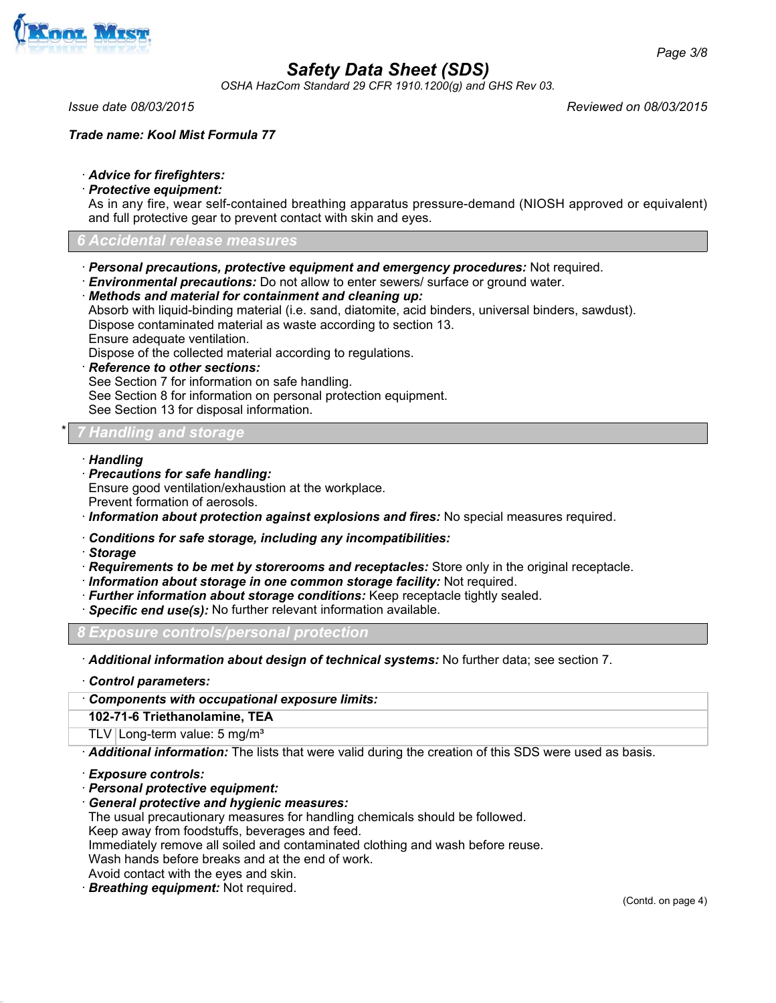

*OSHA HazCom Standard 29 CFR 1910.1200(g) and GHS Rev 03.*

*Issue date 08/03/2015 Reviewed on 08/03/2015*

*Trade name: Kool Mist Formula 77*

### · *Advice for firefighters:*

#### · *Protective equipment:*

As in any fire, wear self-contained breathing apparatus pressure-demand (NIOSH approved or equivalent) and full protective gear to prevent contact with skin and eyes.

#### *6 Accidental release measures*

- · *Personal precautions, protective equipment and emergency procedures:* Not required.
- · *Environmental precautions:* Do not allow to enter sewers/ surface or ground water.

#### · *Methods and material for containment and cleaning up:* Absorb with liquid-binding material (i.e. sand, diatomite, acid binders, universal binders, sawdust). Dispose contaminated material as waste according to section 13. Ensure adequate ventilation.

Dispose of the collected material according to regulations.

· *Reference to other sections:*

See Section 7 for information on safe handling.

See Section 8 for information on personal protection equipment.

See Section 13 for disposal information.

## <u>*Y* **Handling and storage**</u>

#### · *Handling*

· *Precautions for safe handling:*

Ensure good ventilation/exhaustion at the workplace.

Prevent formation of aerosols.

· *Information about protection against explosions and fires:* No special measures required.

### · *Conditions for safe storage, including any incompatibilities:*

· *Storage*

- · *Requirements to be met by storerooms and receptacles:* Store only in the original receptacle.
- · *Information about storage in one common storage facility:* Not required.
- · *Further information about storage conditions:* Keep receptacle tightly sealed.
- · *Specific end use(s):* No further relevant information available.

*8 Exposure controls/personal protection*

· *Additional information about design of technical systems:* No further data; see section 7.

- · *Control parameters:*
- · *Components with occupational exposure limits:*

**102-71-6 Triethanolamine, TEA**

TLV Long-term value:  $5 \text{ mg/m}^3$ 

· *Additional information:* The lists that were valid during the creation of this SDS were used as basis.

· *Exposure controls:*

- · *Personal protective equipment:*
- · *General protective and hygienic measures:*

The usual precautionary measures for handling chemicals should be followed.

Keep away from foodstuffs, beverages and feed.

Immediately remove all soiled and contaminated clothing and wash before reuse.

Wash hands before breaks and at the end of work.

Avoid contact with the eyes and skin.

· *Breathing equipment:* Not required.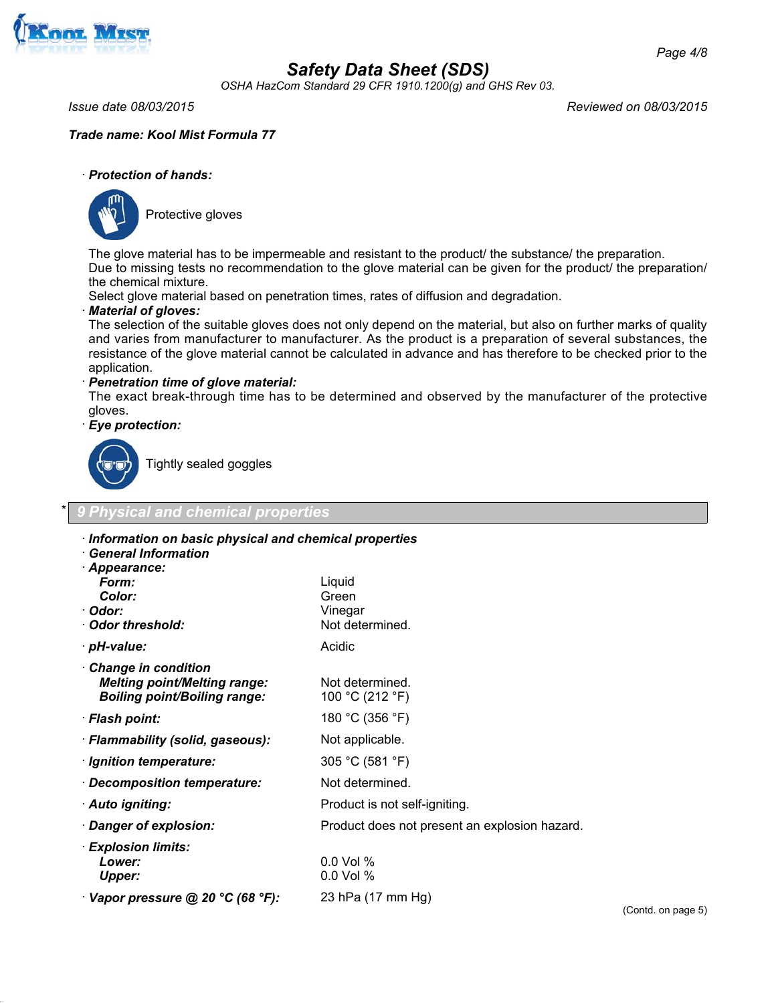

*OSHA HazCom Standard 29 CFR 1910.1200(g) and GHS Rev 03.*

*Issue date 08/03/2015 Reviewed on 08/03/2015*

### *Trade name: Kool Mist Formula 77*

#### · *Protection of hands:*



Protective gloves

The glove material has to be impermeable and resistant to the product/ the substance/ the preparation. Due to missing tests no recommendation to the glove material can be given for the product/ the preparation/ the chemical mixture.

Select glove material based on penetration times, rates of diffusion and degradation.

#### · *Material of gloves:*

The selection of the suitable gloves does not only depend on the material, but also on further marks of quality and varies from manufacturer to manufacturer. As the product is a preparation of several substances, the resistance of the glove material cannot be calculated in advance and has therefore to be checked prior to the application.

· *Penetration time of glove material:*

The exact break-through time has to be determined and observed by the manufacturer of the protective gloves.

· *Eye protection:*



Tightly sealed goggles

#### \* *9 Physical and chemical properties*

## · *Information on basic physical and chemical properties* · *General Information* · *Appearance: Form:* Liquid **Color:** Green · *Odor:* Vinegar · **Odor threshold:** Not determined. · *pH-value:* Acidic Acidic Acidic Acidic · *Change in condition Melting point/Melting range:* Not determined. *Boiling point/Boiling range:* 100 °C (212 °F) · *Flash point:* 180 °C (356 °F) · *Flammability (solid, gaseous):* Not applicable. · *Ignition temperature:* 305 °C (581 °F) · *Decomposition temperature:* Not determined. · **Auto igniting:** Product is not self-igniting. · *Danger of explosion:* Product does not present an explosion hazard. · *Explosion limits: Lower:* 0.0 Vol % *Upper:* 0.0 Vol % · *Vapor pressure @ 20 °C (68 °F):* 23 hPa (17 mm Hg)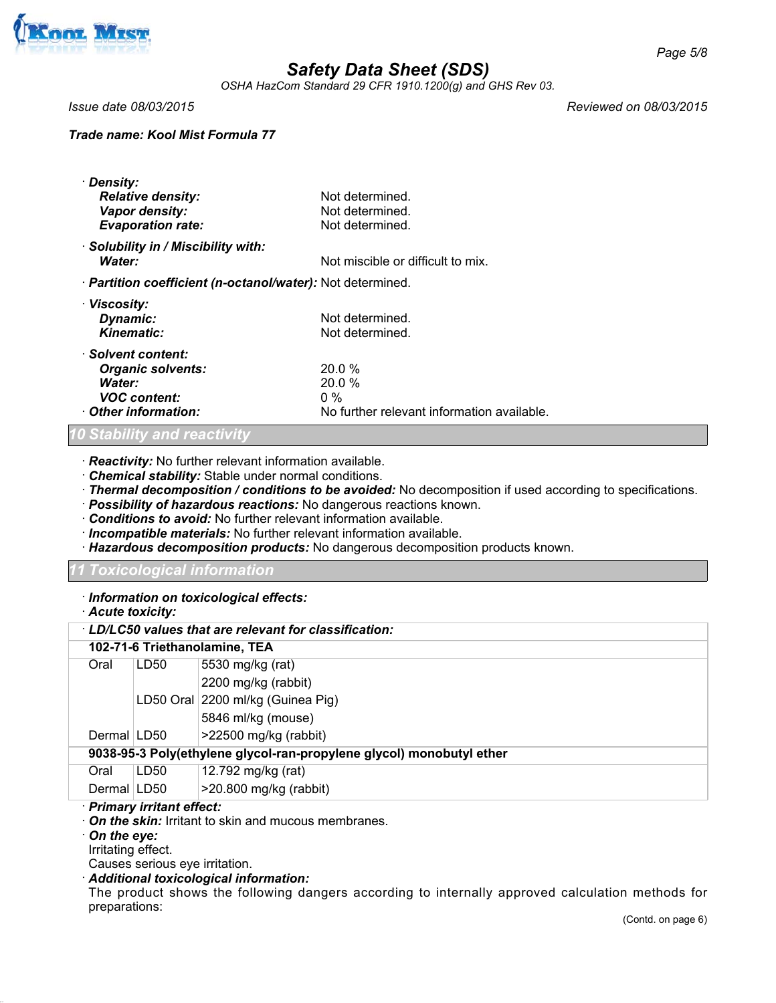

*OSHA HazCom Standard 29 CFR 1910.1200(g) and GHS Rev 03.*

*Issue date 08/03/2015 Reviewed on 08/03/2015*

### *Trade name: Kool Mist Formula 77*

| · Density:<br><b>Relative density:</b>                     | Not determined.                            |
|------------------------------------------------------------|--------------------------------------------|
| Vapor density:                                             | Not determined.                            |
| <b>Evaporation rate:</b>                                   | Not determined.                            |
| · Solubility in / Miscibility with:                        |                                            |
| Water:                                                     | Not miscible or difficult to mix.          |
| · Partition coefficient (n-octanol/water): Not determined. |                                            |
| · Viscosity:                                               |                                            |
| Dynamic:                                                   | Not determined.                            |
| Kinematic:                                                 | Not determined.                            |
| · Solvent content:                                         |                                            |
| <b>Organic solvents:</b>                                   | 20.0%                                      |
| <b>Water:</b>                                              | 20.0%                                      |
| <b>VOC content:</b>                                        | $0\%$                                      |
| Other information:                                         | No further relevant information available. |

#### *10 Stability and reactivity*

· *Reactivity:* No further relevant information available.

- · *Chemical stability:* Stable under normal conditions.
- · *Thermal decomposition / conditions to be avoided:* No decomposition if used according to specifications.
- · *Possibility of hazardous reactions:* No dangerous reactions known.
- · *Conditions to avoid:* No further relevant information available.
- · *Incompatible materials:* No further relevant information available.
- · *Hazardous decomposition products:* No dangerous decomposition products known.

## *11 Toxicological information*

#### · *Information on toxicological effects:*

· *Acute toxicity:*

| LD/LC50 values that are relevant for classification:                 |      |                                   |  |  |  |
|----------------------------------------------------------------------|------|-----------------------------------|--|--|--|
| 102-71-6 Triethanolamine, TEA                                        |      |                                   |  |  |  |
| Oral                                                                 | LD50 | 5530 mg/kg (rat)                  |  |  |  |
|                                                                      |      | 2200 mg/kg (rabbit)               |  |  |  |
|                                                                      |      | LD50 Oral 2200 ml/kg (Guinea Pig) |  |  |  |
|                                                                      |      | 5846 ml/kg (mouse)                |  |  |  |
| Dermal LD50                                                          |      | $>22500$ mg/kg (rabbit)           |  |  |  |
| 9038-95-3 Poly(ethylene glycol-ran-propylene glycol) monobutyl ether |      |                                   |  |  |  |
| Oral                                                                 | LD50 | 12.792 mg/kg (rat)                |  |  |  |
| Dermal LD50                                                          |      | $>20.800$ mg/kg (rabbit)          |  |  |  |

### · *Primary irritant effect:*

- · *On the skin:* Irritant to skin and mucous membranes.
- · *On the eye:*
- Irritating effect.

Causes serious eye irritation.

## · *Additional toxicological information:*

The product shows the following dangers according to internally approved calculation methods for preparations: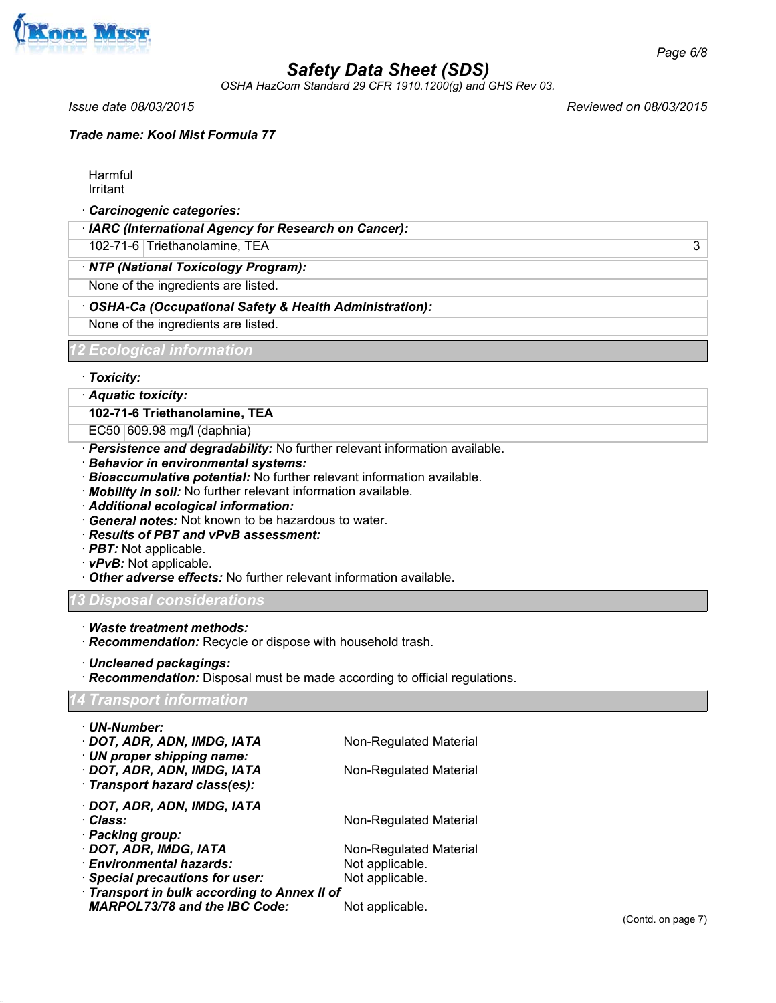

*OSHA HazCom Standard 29 CFR 1910.1200(g) and GHS Rev 03.*

*Trade name: Kool Mist Formula 77*

Harmful Irritant

· *Carcinogenic categories:*

· *IARC (International Agency for Research on Cancer):*

102-71-6 Triethanolamine, TEA 3

· *NTP (National Toxicology Program):*

None of the ingredients are listed.

· *OSHA-Ca (Occupational Safety & Health Administration):*

None of the ingredients are listed.

*12 Ecological information*

· *Toxicity:*

· *Aquatic toxicity:*

**102-71-6 Triethanolamine, TEA**

EC50 609.98 mg/l (daphnia)

- · *Persistence and degradability:* No further relevant information available.
- · *Behavior in environmental systems:*
- · *Bioaccumulative potential:* No further relevant information available.
- · *Mobility in soil:* No further relevant information available.
- · *Additional ecological information:*
- · *General notes:* Not known to be hazardous to water.
- · *Results of PBT and vPvB assessment:*
- · *PBT:* Not applicable.
- · *vPvB:* Not applicable.
- · *Other adverse effects:* No further relevant information available.

### *13 Disposal considerations*

- · *Waste treatment methods:*
- · *Recommendation:* Recycle or dispose with household trash.
- · *Uncleaned packagings:*
- · *Recommendation:* Disposal must be made according to official regulations.

*14 Transport information*

| · UN-Number:                                 |                        |  |  |  |
|----------------------------------------------|------------------------|--|--|--|
| · DOT, ADR, ADN, IMDG, IATA                  | Non-Regulated Material |  |  |  |
| · UN proper shipping name:                   |                        |  |  |  |
| DOT, ADR, ADN, IMDG, IATA                    | Non-Regulated Material |  |  |  |
| · Transport hazard class(es):                |                        |  |  |  |
| · DOT, ADR, ADN, IMDG, IATA                  |                        |  |  |  |
| · Class:                                     | Non-Regulated Material |  |  |  |
| · Packing group:                             |                        |  |  |  |
| · DOT, ADR, IMDG, IATA                       | Non-Regulated Material |  |  |  |
| · Environmental hazards:                     | Not applicable.        |  |  |  |
| · Special precautions for user:              | Not applicable.        |  |  |  |
| · Transport in bulk according to Annex II of |                        |  |  |  |
| <b>MARPOL73/78 and the IBC Code:</b>         | Not applicable.        |  |  |  |

*Issue date 08/03/2015 Reviewed on 08/03/2015*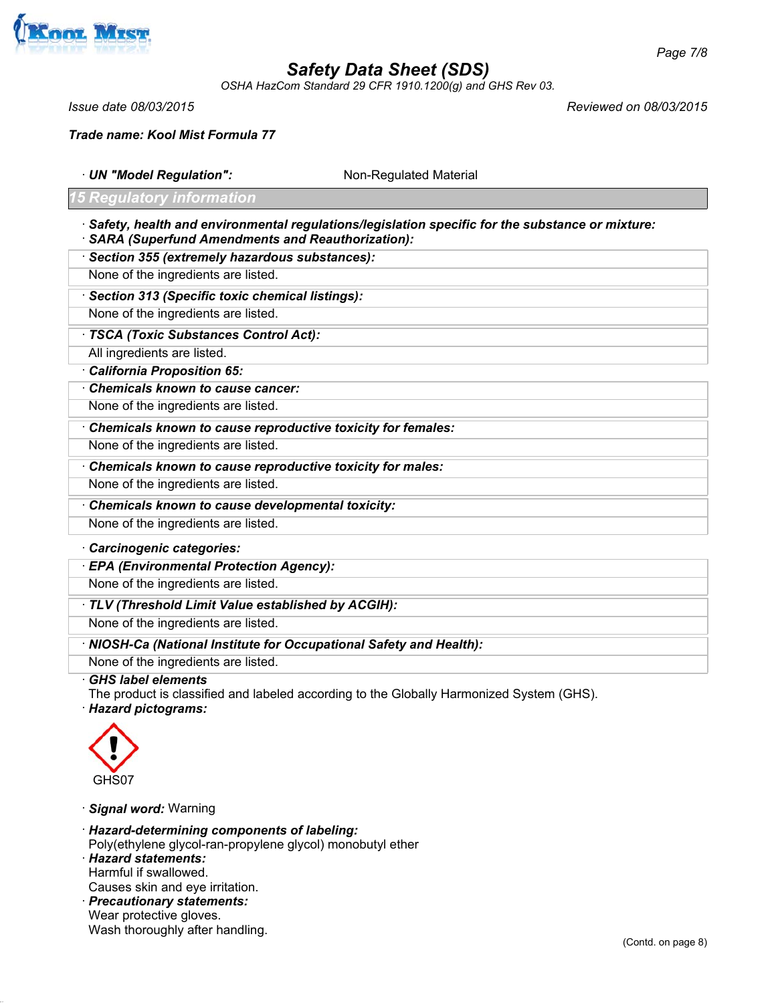

*OSHA HazCom Standard 29 CFR 1910.1200(g) and GHS Rev 03.*

*Issue date 08/03/2015 Reviewed on 08/03/2015*

*Trade name: Kool Mist Formula 77*

· **UN "Model Regulation":** Non-Regulated Material

## *15 Regulatory information*

- · *Safety, health and environmental regulations/legislation specific for the substance or mixture:* · *SARA (Superfund Amendments and Reauthorization):*
- · *Section 355 (extremely hazardous substances):*

None of the ingredients are listed.

· *Section 313 (Specific toxic chemical listings):*

None of the ingredients are listed.

- · *TSCA (Toxic Substances Control Act):*
- All ingredients are listed.
- · *California Proposition 65:*
- · *Chemicals known to cause cancer:*

None of the ingredients are listed.

· *Chemicals known to cause reproductive toxicity for females:*

None of the ingredients are listed.

· *Chemicals known to cause reproductive toxicity for males:*

None of the ingredients are listed.

· *Chemicals known to cause developmental toxicity:*

None of the ingredients are listed.

- · *Carcinogenic categories:*
- · *EPA (Environmental Protection Agency):*

None of the ingredients are listed.

### · *TLV (Threshold Limit Value established by ACGIH):*

None of the ingredients are listed.

· *NIOSH-Ca (National Institute for Occupational Safety and Health):*

None of the ingredients are listed.

· *GHS label elements*

The product is classified and labeled according to the Globally Harmonized System (GHS). · *Hazard pictograms:*



· *Signal word:* Warning

· *Hazard-determining components of labeling:*

Poly(ethylene glycol-ran-propylene glycol) monobutyl ether

· *Hazard statements:* Harmful if swallowed.

Causes skin and eye irritation.

· *Precautionary statements:*

Wear protective gloves. Wash thoroughly after handling.